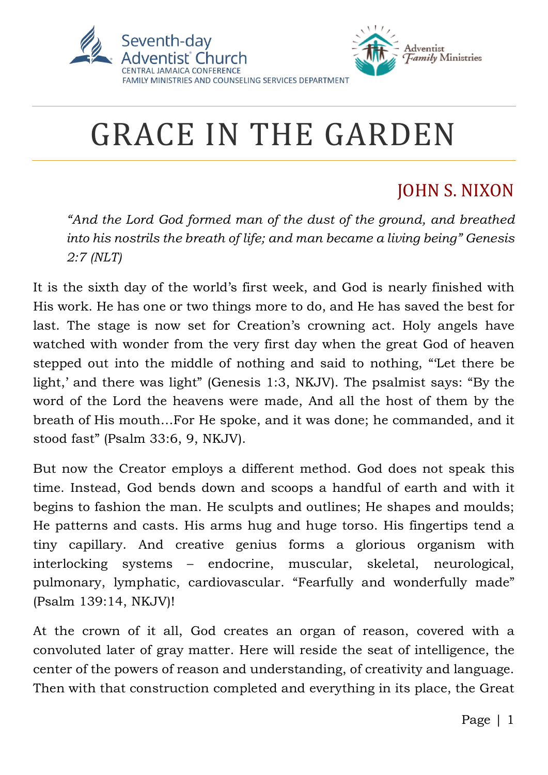

## Adventist *Family* Ministries

# GRACE IN THE GARDEN

### JOHN S. NIXON

*"And the Lord God formed man of the dust of the ground, and breathed into his nostrils the breath of life; and man became a living being" Genesis 2:7 (NLT)*

It is the sixth day of the world's first week, and God is nearly finished with His work. He has one or two things more to do, and He has saved the best for last. The stage is now set for Creation's crowning act. Holy angels have watched with wonder from the very first day when the great God of heaven stepped out into the middle of nothing and said to nothing, "'Let there be light,' and there was light" (Genesis 1:3, NKJV). The psalmist says: "By the word of the Lord the heavens were made, And all the host of them by the breath of His mouth…For He spoke, and it was done; he commanded, and it stood fast" (Psalm 33:6, 9, NKJV).

But now the Creator employs a different method. God does not speak this time. Instead, God bends down and scoops a handful of earth and with it begins to fashion the man. He sculpts and outlines; He shapes and moulds; He patterns and casts. His arms hug and huge torso. His fingertips tend a tiny capillary. And creative genius forms a glorious organism with interlocking systems – endocrine, muscular, skeletal, neurological, pulmonary, lymphatic, cardiovascular. "Fearfully and wonderfully made" (Psalm 139:14, NKJV)!

At the crown of it all, God creates an organ of reason, covered with a convoluted later of gray matter. Here will reside the seat of intelligence, the center of the powers of reason and understanding, of creativity and language. Then with that construction completed and everything in its place, the Great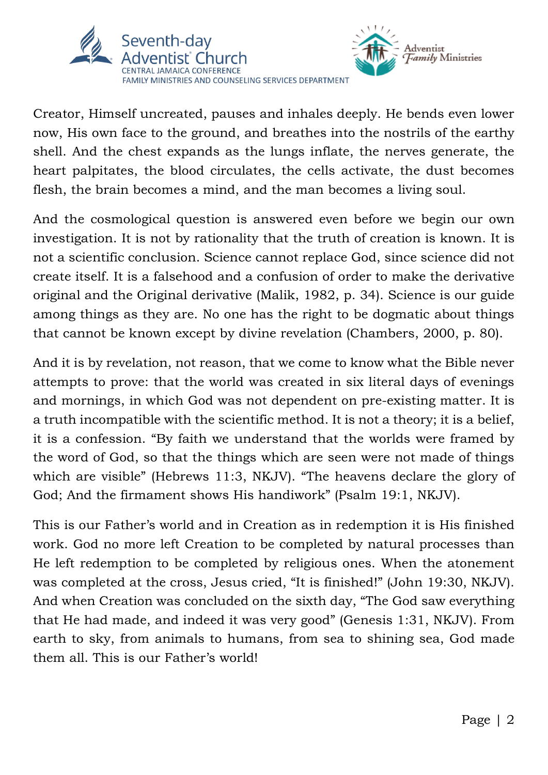

Adventist *Family* Ministries

Creator, Himself uncreated, pauses and inhales deeply. He bends even lower now, His own face to the ground, and breathes into the nostrils of the earthy shell. And the chest expands as the lungs inflate, the nerves generate, the heart palpitates, the blood circulates, the cells activate, the dust becomes flesh, the brain becomes a mind, and the man becomes a living soul.

And the cosmological question is answered even before we begin our own investigation. It is not by rationality that the truth of creation is known. It is not a scientific conclusion. Science cannot replace God, since science did not create itself. It is a falsehood and a confusion of order to make the derivative original and the Original derivative (Malik, 1982, p. 34). Science is our guide among things as they are. No one has the right to be dogmatic about things that cannot be known except by divine revelation (Chambers, 2000, p. 80).

And it is by revelation, not reason, that we come to know what the Bible never attempts to prove: that the world was created in six literal days of evenings and mornings, in which God was not dependent on pre-existing matter. It is a truth incompatible with the scientific method. It is not a theory; it is a belief, it is a confession. "By faith we understand that the worlds were framed by the word of God, so that the things which are seen were not made of things which are visible" (Hebrews 11:3, NKJV). "The heavens declare the glory of God; And the firmament shows His handiwork" (Psalm 19:1, NKJV).

This is our Father's world and in Creation as in redemption it is His finished work. God no more left Creation to be completed by natural processes than He left redemption to be completed by religious ones. When the atonement was completed at the cross, Jesus cried, "It is finished!" (John 19:30, NKJV). And when Creation was concluded on the sixth day, "The God saw everything that He had made, and indeed it was very good" (Genesis 1:31, NKJV). From earth to sky, from animals to humans, from sea to shining sea, God made them all. This is our Father's world!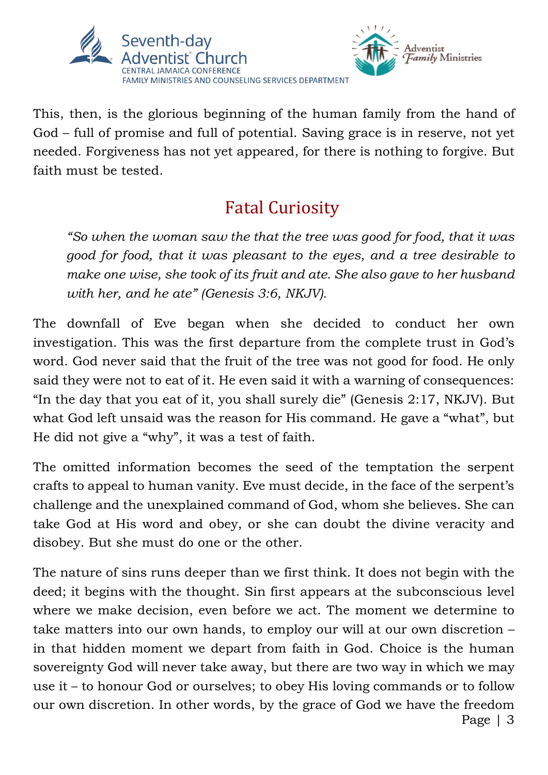



This, then, is the glorious beginning of the human family from the hand of God – full of promise and full of potential. Saving grace is in reserve, not yet needed. Forgiveness has not yet appeared, for there is nothing to forgive. But faith must be tested.

#### Fatal Curiosity

*"So when the woman saw the that the tree was good for food, that it was good for food, that it was pleasant to the eyes, and a tree desirable to make one wise, she took of its fruit and ate. She also gave to her husband with her, and he ate" (Genesis 3:6, NKJV).*

The downfall of Eve began when she decided to conduct her own investigation. This was the first departure from the complete trust in God's word. God never said that the fruit of the tree was not good for food. He only said they were not to eat of it. He even said it with a warning of consequences: "In the day that you eat of it, you shall surely die" (Genesis 2:17, NKJV). But what God left unsaid was the reason for His command. He gave a "what", but He did not give a "why", it was a test of faith.

The omitted information becomes the seed of the temptation the serpent crafts to appeal to human vanity. Eve must decide, in the face of the serpent's challenge and the unexplained command of God, whom she believes. She can take God at His word and obey, or she can doubt the divine veracity and disobey. But she must do one or the other.

Page | 3 The nature of sins runs deeper than we first think. It does not begin with the deed; it begins with the thought. Sin first appears at the subconscious level where we make decision, even before we act. The moment we determine to take matters into our own hands, to employ our will at our own discretion – in that hidden moment we depart from faith in God. Choice is the human sovereignty God will never take away, but there are two way in which we may use it – to honour God or ourselves; to obey His loving commands or to follow our own discretion. In other words, by the grace of God we have the freedom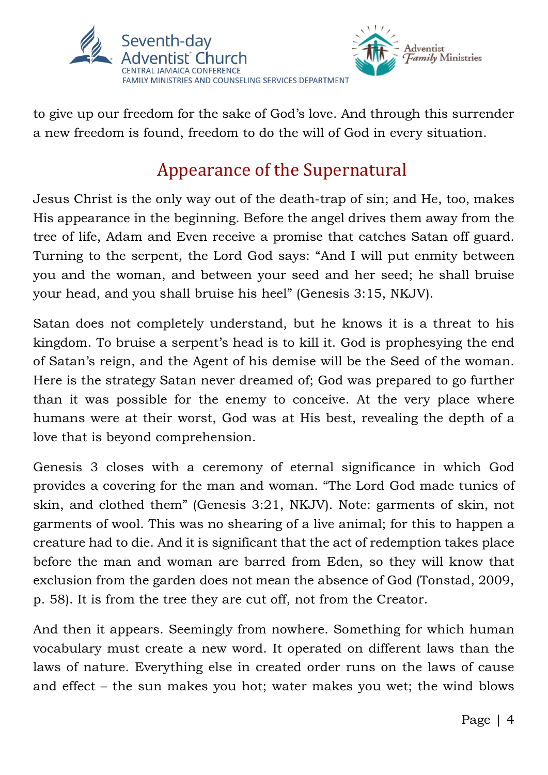

to give up our freedom for the sake of God's love. And through this surrender a new freedom is found, freedom to do the will of God in every situation.

#### Appearance of the Supernatural

Jesus Christ is the only way out of the death-trap of sin; and He, too, makes His appearance in the beginning. Before the angel drives them away from the tree of life, Adam and Even receive a promise that catches Satan off guard. Turning to the serpent, the Lord God says: "And I will put enmity between you and the woman, and between your seed and her seed; he shall bruise your head, and you shall bruise his heel" (Genesis 3:15, NKJV).

Satan does not completely understand, but he knows it is a threat to his kingdom. To bruise a serpent's head is to kill it. God is prophesying the end of Satan's reign, and the Agent of his demise will be the Seed of the woman. Here is the strategy Satan never dreamed of; God was prepared to go further than it was possible for the enemy to conceive. At the very place where humans were at their worst, God was at His best, revealing the depth of a love that is beyond comprehension.

Genesis 3 closes with a ceremony of eternal significance in which God provides a covering for the man and woman. "The Lord God made tunics of skin, and clothed them" (Genesis 3:21, NKJV). Note: garments of skin, not garments of wool. This was no shearing of a live animal; for this to happen a creature had to die. And it is significant that the act of redemption takes place before the man and woman are barred from Eden, so they will know that exclusion from the garden does not mean the absence of God (Tonstad, 2009, p. 58). It is from the tree they are cut off, not from the Creator.

And then it appears. Seemingly from nowhere. Something for which human vocabulary must create a new word. It operated on different laws than the laws of nature. Everything else in created order runs on the laws of cause and effect – the sun makes you hot; water makes you wet; the wind blows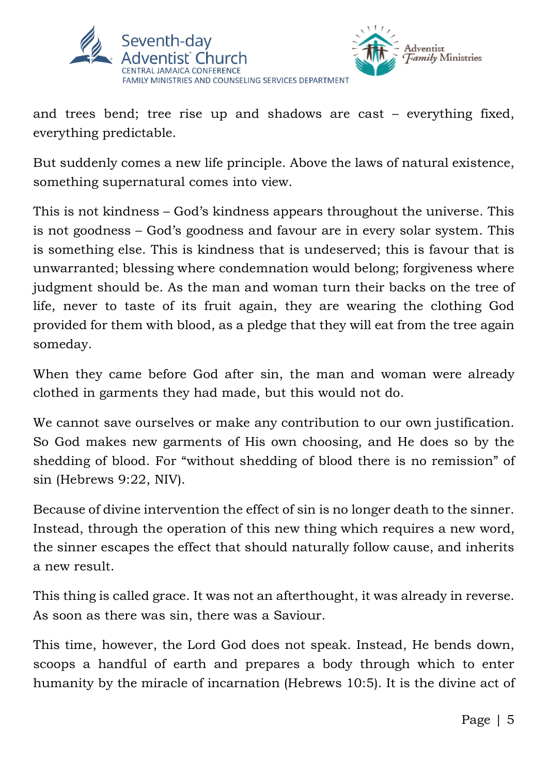



and trees bend; tree rise up and shadows are cast – everything fixed, everything predictable.

But suddenly comes a new life principle. Above the laws of natural existence, something supernatural comes into view.

This is not kindness – God's kindness appears throughout the universe. This is not goodness – God's goodness and favour are in every solar system. This is something else. This is kindness that is undeserved; this is favour that is unwarranted; blessing where condemnation would belong; forgiveness where judgment should be. As the man and woman turn their backs on the tree of life, never to taste of its fruit again, they are wearing the clothing God provided for them with blood, as a pledge that they will eat from the tree again someday.

When they came before God after sin, the man and woman were already clothed in garments they had made, but this would not do.

We cannot save ourselves or make any contribution to our own justification. So God makes new garments of His own choosing, and He does so by the shedding of blood. For "without shedding of blood there is no remission" of sin (Hebrews 9:22, NIV).

Because of divine intervention the effect of sin is no longer death to the sinner. Instead, through the operation of this new thing which requires a new word, the sinner escapes the effect that should naturally follow cause, and inherits a new result.

This thing is called grace. It was not an afterthought, it was already in reverse. As soon as there was sin, there was a Saviour.

This time, however, the Lord God does not speak. Instead, He bends down, scoops a handful of earth and prepares a body through which to enter humanity by the miracle of incarnation (Hebrews 10:5). It is the divine act of